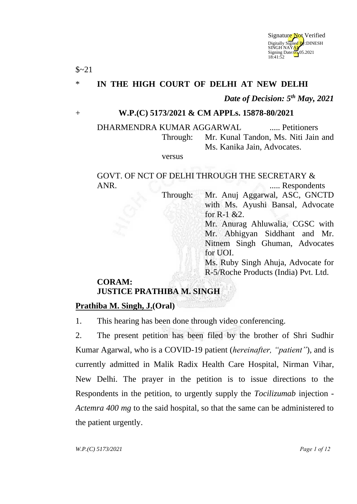

# \* **IN THE HIGH COURT OF DELHI AT NEW DELHI**

*Date of Decision: 5th May, 2021*

#### + **W.P.(C) 5173/2021 & CM APPLs. 15878-80/2021**

DHARMENDRA KUMAR AGGARWAL ..... Petitioners Through: Mr. Kunal Tandon, Ms. Niti Jain and Ms. Kanika Jain, Advocates.

versus

GOVT. OF NCT OF DELHI THROUGH THE SECRETARY & ANR. ..... Respondents

Through: Mr. Anuj Aggarwal, ASC, GNCTD with Ms. Ayushi Bansal, Advocate for R-1 &2.

Mr. Anurag Ahluwalia, CGSC with Mr. Abhigyan Siddhant and Mr. Nitnem Singh Ghuman, Advocates for UOI.

Ms. Ruby Singh Ahuja, Advocate for R-5/Roche Products (India) Pvt. Ltd.

## **CORAM: JUSTICE PRATHIBA M. SINGH**

#### **Prathiba M. Singh, J.(Oral)**

 $$~21$ 

1. This hearing has been done through video conferencing.

2. The present petition has been filed by the brother of Shri Sudhir Kumar Agarwal, who is a COVID-19 patient (*hereinafter, "patient"*), and is currently admitted in Malik Radix Health Care Hospital, Nirman Vihar, New Delhi. The prayer in the petition is to issue directions to the Respondents in the petition, to urgently supply the *Tocilizumab* injection - *Actemra 400 mg* to the said hospital, so that the same can be administered to the patient urgently.

*W.P.(C) 5173/2021 Page 1 of 12*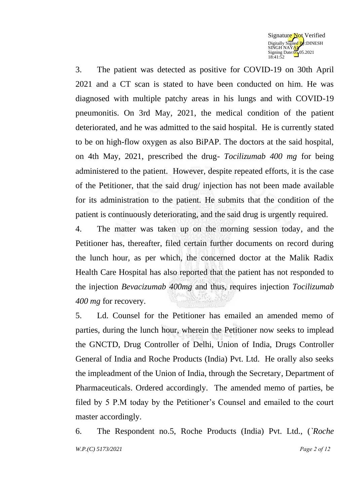

3. The patient was detected as positive for COVID-19 on 30th April 2021 and a CT scan is stated to have been conducted on him. He was diagnosed with multiple patchy areas in his lungs and with COVID-19 pneumonitis. On 3rd May, 2021, the medical condition of the patient deteriorated, and he was admitted to the said hospital. He is currently stated to be on high-flow oxygen as also BiPAP. The doctors at the said hospital, on 4th May, 2021, prescribed the drug- *Tocilizumab 400 mg* for being administered to the patient. However, despite repeated efforts, it is the case of the Petitioner, that the said drug/ injection has not been made available for its administration to the patient. He submits that the condition of the patient is continuously deteriorating, and the said drug is urgently required.

4. The matter was taken up on the morning session today, and the Petitioner has, thereafter, filed certain further documents on record during the lunch hour, as per which, the concerned doctor at the Malik Radix Health Care Hospital has also reported that the patient has not responded to the injection *Bevacizumab 400mg* and thus, requires injection *Tocilizumab 400 mg* for recovery.

5. Ld. Counsel for the Petitioner has emailed an amended memo of parties, during the lunch hour, wherein the Petitioner now seeks to implead the GNCTD, Drug Controller of Delhi, Union of India, Drugs Controller General of India and Roche Products (India) Pvt. Ltd. He orally also seeks the impleadment of the Union of India, through the Secretary, Department of Pharmaceuticals. Ordered accordingly. The amended memo of parties, be filed by 5 P.M today by the Petitioner's Counsel and emailed to the court master accordingly.

*W.P.(C) 5173/2021 Page 2 of 12* 6. The Respondent no.5, Roche Products (India) Pvt. Ltd., (*`Roche*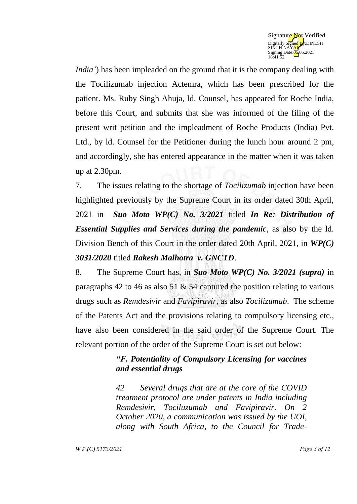

*India'*) has been impleaded on the ground that it is the company dealing with the Tocilizumab injection Actemra, which has been prescribed for the patient. Ms. Ruby Singh Ahuja, ld. Counsel, has appeared for Roche India, before this Court, and submits that she was informed of the filing of the present writ petition and the impleadment of Roche Products (India) Pvt. Ltd., by ld. Counsel for the Petitioner during the lunch hour around 2 pm, and accordingly, she has entered appearance in the matter when it was taken up at 2.30pm.

7. The issues relating to the shortage of *Tocilizumab* injection have been highlighted previously by the Supreme Court in its order dated 30th April, 2021 in *Suo Moto WP(C) No. 3/2021* titled *In Re: Distribution of Essential Supplies and Services during the pandemic*, as also by the ld. Division Bench of this Court in the order dated 20th April, 2021, in *WP(C) 3031/2020* titled *Rakesh Malhotra v. GNCTD*.

8. The Supreme Court has, in *Suo Moto WP(C) No. 3/2021 (supra)* in paragraphs 42 to 46 as also 51 & 54 captured the position relating to various drugs such as *Remdesivir* and *Favipiravir*, as also *Tocilizumab*. The scheme of the Patents Act and the provisions relating to compulsory licensing etc., have also been considered in the said order of the Supreme Court. The relevant portion of the order of the Supreme Court is set out below:

## *"F. Potentiality of Compulsory Licensing for vaccines and essential drugs*

*42 Several drugs that are at the core of the COVID treatment protocol are under patents in India including Remdesivir, Tociluzumab and Favipiravir. On 2 October 2020, a communication was issued by the UOI, along with South Africa, to the Council for Trade-*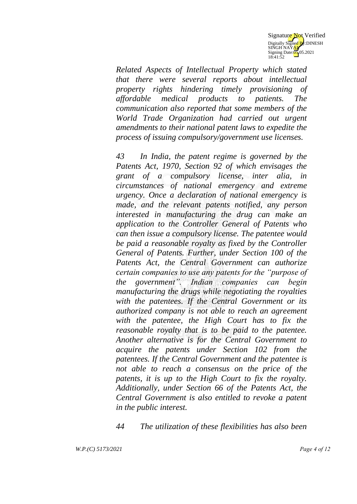

*Related Aspects of Intellectual Property which stated that there were several reports about intellectual property rights hindering timely provisioning of affordable medical products to patients. The communication also reported that some members of the World Trade Organization had carried out urgent amendments to their national patent laws to expedite the process of issuing compulsory/government use licenses.*

*43 In India, the patent regime is governed by the Patents Act, 1970, Section 92 of which envisages the grant of a compulsory license, inter alia, in circumstances of national emergency and extreme urgency. Once a declaration of national emergency is made, and the relevant patents notified, any person interested in manufacturing the drug can make an application to the Controller General of Patents who can then issue a compulsory license. The patentee would be paid a reasonable royalty as fixed by the Controller General of Patents. Further, under Section 100 of the Patents Act, the Central Government can authorize certain companies to use any patents for the "purpose of the government". Indian companies can begin manufacturing the drugs while negotiating the royalties with the patentees. If the Central Government or its authorized company is not able to reach an agreement with the patentee, the High Court has to fix the reasonable royalty that is to be paid to the patentee. Another alternative is for the Central Government to acquire the patents under Section 102 from the patentees. If the Central Government and the patentee is not able to reach a consensus on the price of the patents, it is up to the High Court to fix the royalty. Additionally, under Section 66 of the Patents Act, the Central Government is also entitled to revoke a patent in the public interest.* 

*44 The utilization of these flexibilities has also been*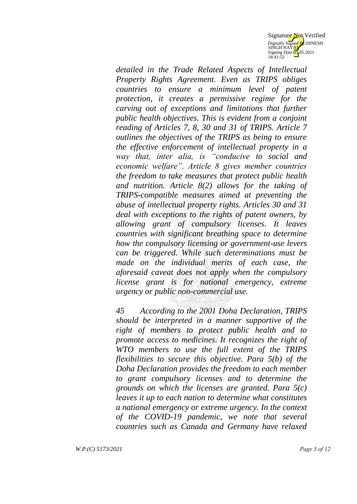

*detailed in the Trade Related Aspects of Intellectual Property Rights Agreement. Even as TRIPS obliges countries to ensure a minimum level of patent protection, it creates a permissive regime for the carving out of exceptions and limitations that further public health objectives. This is evident from a conjoint reading of Articles 7, 8, 30 and 31 of TRIPS. Article 7 outlines the objectives of the TRIPS as being to ensure the effective enforcement of intellectual property in a way that, inter alia, is "conducive to social and economic welfare". Article 8 gives member countries the freedom to take measures that protect public health and nutrition. Article 8(2) allows for the taking of TRIPS-compatible measures aimed at preventing the abuse of intellectual property rights. Articles 30 and 31 deal with exceptions to the rights of patent owners, by allowing grant of compulsory licenses. It leaves countries with significant breathing space to determine how the compulsory licensing or government-use levers can be triggered. While such determinations must be made on the individual merits of each case, the aforesaid caveat does not apply when the compulsory license grant is for national emergency, extreme urgency or public non-commercial use.* 

*45 According to the 2001 Doha Declaration, TRIPS should be interpreted in a manner supportive of the right of members to protect public health and to promote access to medicines. It recognizes the right of WTO members to use the full extent of the TRIPS flexibilities to secure this objective. Para 5(b) of the Doha Declaration provides the freedom to each member to grant compulsory licenses and to determine the grounds on which the licenses are granted. Para 5(c) leaves it up to each nation to determine what constitutes a national emergency or extreme urgency. In the context of the COVID-19 pandemic, we note that several countries such as Canada and Germany have relaxed*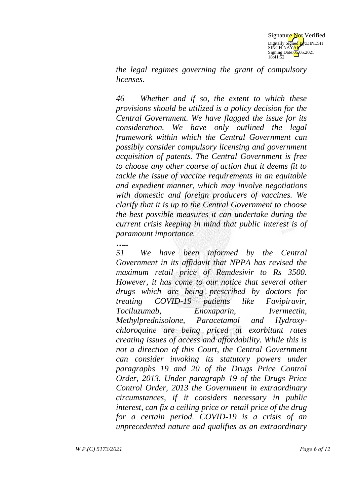

*the legal regimes governing the grant of compulsory licenses.*

*46 Whether and if so, the extent to which these provisions should be utilized is a policy decision for the Central Government. We have flagged the issue for its consideration. We have only outlined the legal framework within which the Central Government can possibly consider compulsory licensing and government acquisition of patents. The Central Government is free to choose any other course of action that it deems fit to tackle the issue of vaccine requirements in an equitable and expedient manner, which may involve negotiations with domestic and foreign producers of vaccines. We clarify that it is up to the Central Government to choose the best possible measures it can undertake during the current crisis keeping in mind that public interest is of paramount importance.* 

*…..*

*51 We have been informed by the Central Government in its affidavit that NPPA has revised the maximum retail price of Remdesivir to Rs 3500. However, it has come to our notice that several other drugs which are being prescribed by doctors for treating COVID-19 patients like Favipiravir, Tociluzumab, Enoxaparin, Ivermectin, Methylprednisolone, Paracetamol and Hydroxychloroquine are being priced at exorbitant rates creating issues of access and affordability. While this is not a direction of this Court, the Central Government can consider invoking its statutory powers under paragraphs 19 and 20 of the Drugs Price Control Order, 2013. Under paragraph 19 of the Drugs Price Control Order, 2013 the Government in extraordinary circumstances, if it considers necessary in public interest, can fix a ceiling price or retail price of the drug for a certain period. COVID-19 is a crisis of an unprecedented nature and qualifies as an extraordinary*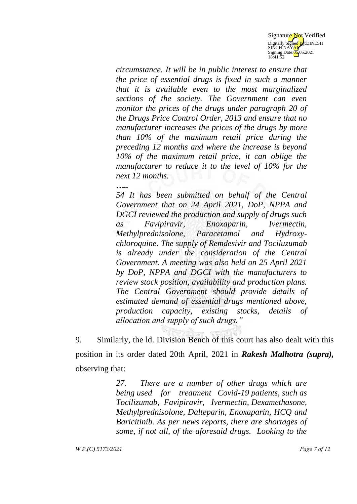

*circumstance. It will be in public interest to ensure that the price of essential drugs is fixed in such a manner that it is available even to the most marginalized sections of the society. The Government can even monitor the prices of the drugs under paragraph 20 of the Drugs Price Control Order, 2013 and ensure that no manufacturer increases the prices of the drugs by more than 10% of the maximum retail price during the preceding 12 months and where the increase is beyond 10% of the maximum retail price, it can oblige the manufacturer to reduce it to the level of 10% for the next 12 months.* 

*…..*

*54 It has been submitted on behalf of the Central Government that on 24 April 2021, DoP, NPPA and DGCI reviewed the production and supply of drugs such as Favipiravir, Enoxaparin, Ivermectin, Methylprednisolone, Paracetamol and Hydroxychloroquine. The supply of Remdesivir and Tociluzumab is already under the consideration of the Central Government. A meeting was also held on 25 April 2021 by DoP, NPPA and DGCI with the manufacturers to review stock position, availability and production plans. The Central Government should provide details of estimated demand of essential drugs mentioned above, production capacity, existing stocks, details of allocation and supply of such drugs."* 

9. Similarly, the ld. Division Bench of this court has also dealt with this position in its order dated 20th April, 2021 in *Rakesh Malhotra (supra),* observing that:

> *27. There are a number of other drugs which are being used for treatment Covid-19 patients, such as Tocilizumab, Favipiravir, Ivermectin, Dexamethasone, Methylprednisolone, Dalteparin, Enoxaparin, HCQ and Baricitinib. As per news reports, there are shortages of some, if not all, of the aforesaid drugs. Looking to the*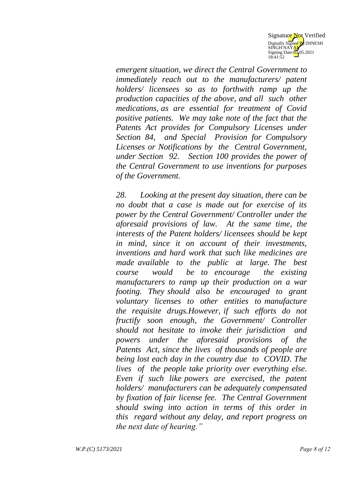

*emergent situation, we direct the Central Government to immediately reach out to the manufacturers/ patent holders/ licensees so as to forthwith ramp up the production capacities of the above, and all such other medications, as are essential for treatment of Covid positive patients. We may take note of the fact that the Patents Act provides for Compulsory Licenses under Section 84, and Special Provision for Compulsory Licenses or Notifications by the Central Government, under Section 92. Section 100 provides the power of the Central Government to use inventions for purposes of the Government.*

*28. Looking at the present day situation, there can be no doubt that a case is made out for exercise of its power by the Central Government/ Controller under the aforesaid provisions of law. At the same time, the interests of the Patent holders/ licensees should be kept in mind, since it on account of their investments, inventions and hard work that such like medicines are made available to the public at large. The best course would be to encourage the existing manufacturers to ramp up their production on a war footing. They should also be encouraged to grant voluntary licenses to other entities to manufacture the requisite drugs.However, if such efforts do not fructify soon enough, the Government/ Controller should not hesitate to invoke their jurisdiction and powers under the aforesaid provisions of the Patents Act, since the lives of thousands of people are being lost each day in the country due to COVID. The lives of the people take priority over everything else. Even if such like powers are exercised, the patent holders/ manufacturers can be adequately compensated by fixation of fair license fee. The Central Government should swing into action in terms of this order in this regard without any delay, and report progress on the next date of hearing."*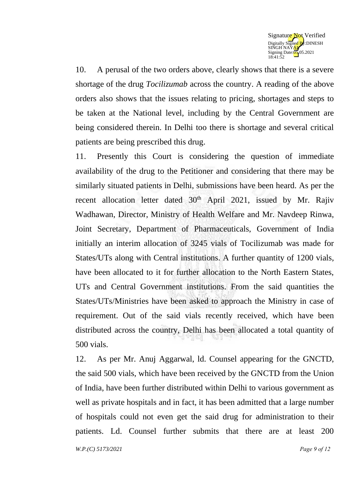

10. A perusal of the two orders above, clearly shows that there is a severe shortage of the drug *Tocilizumab* across the country. A reading of the above orders also shows that the issues relating to pricing, shortages and steps to be taken at the National level, including by the Central Government are being considered therein. In Delhi too there is shortage and several critical patients are being prescribed this drug.

11. Presently this Court is considering the question of immediate availability of the drug to the Petitioner and considering that there may be similarly situated patients in Delhi, submissions have been heard. As per the recent allocation letter dated  $30<sup>th</sup>$  April 2021, issued by Mr. Rajiv Wadhawan, Director, Ministry of Health Welfare and Mr. Navdeep Rinwa, Joint Secretary, Department of Pharmaceuticals, Government of India initially an interim allocation of 3245 vials of Tocilizumab was made for States/UTs along with Central institutions. A further quantity of 1200 vials, have been allocated to it for further allocation to the North Eastern States, UTs and Central Government institutions. From the said quantities the States/UTs/Ministries have been asked to approach the Ministry in case of requirement. Out of the said vials recently received, which have been distributed across the country, Delhi has been allocated a total quantity of 500 vials.

12. As per Mr. Anuj Aggarwal, ld. Counsel appearing for the GNCTD, the said 500 vials, which have been received by the GNCTD from the Union of India, have been further distributed within Delhi to various government as well as private hospitals and in fact, it has been admitted that a large number of hospitals could not even get the said drug for administration to their patients. Ld. Counsel further submits that there are at least 200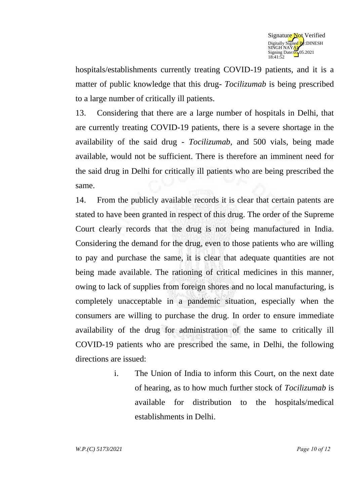

hospitals/establishments currently treating COVID-19 patients, and it is a matter of public knowledge that this drug- *Tocilizumab* is being prescribed to a large number of critically ill patients.

13. Considering that there are a large number of hospitals in Delhi, that are currently treating COVID-19 patients, there is a severe shortage in the availability of the said drug - *Tocilizumab*, and 500 vials, being made available, would not be sufficient. There is therefore an imminent need for the said drug in Delhi for critically ill patients who are being prescribed the same.

14. From the publicly available records it is clear that certain patents are stated to have been granted in respect of this drug. The order of the Supreme Court clearly records that the drug is not being manufactured in India. Considering the demand for the drug, even to those patients who are willing to pay and purchase the same, it is clear that adequate quantities are not being made available. The rationing of critical medicines in this manner, owing to lack of supplies from foreign shores and no local manufacturing, is completely unacceptable in a pandemic situation, especially when the consumers are willing to purchase the drug. In order to ensure immediate availability of the drug for administration of the same to critically ill COVID-19 patients who are prescribed the same, in Delhi, the following directions are issued:

> i. The Union of India to inform this Court, on the next date of hearing, as to how much further stock of *Tocilizumab* is available for distribution to the hospitals/medical establishments in Delhi.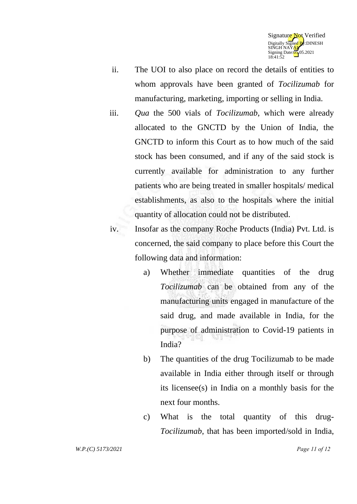

- ii. The UOI to also place on record the details of entities to whom approvals have been granted of *Tocilizumab* for manufacturing, marketing, importing or selling in India.
- iii. *Qua* the 500 vials of *Tocilizumab*, which were already allocated to the GNCTD by the Union of India, the GNCTD to inform this Court as to how much of the said stock has been consumed, and if any of the said stock is currently available for administration to any further patients who are being treated in smaller hospitals/ medical establishments, as also to the hospitals where the initial quantity of allocation could not be distributed.
- iv. Insofar as the company Roche Products (India) Pvt. Ltd. is concerned, the said company to place before this Court the following data and information:
	- a) Whether immediate quantities of the drug *Tocilizumab* can be obtained from any of the manufacturing units engaged in manufacture of the said drug, and made available in India, for the purpose of administration to Covid-19 patients in India?
	- b) The quantities of the drug Tocilizumab to be made available in India either through itself or through its licensee(s) in India on a monthly basis for the next four months.
	- c) What is the total quantity of this drug-*Tocilizumab*, that has been imported/sold in India,